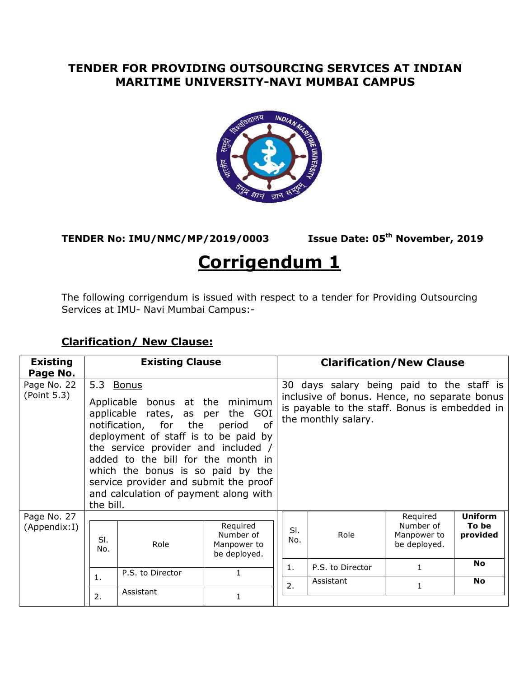## **TENDER FOR PROVIDING OUTSOURCING SERVICES AT INDIAN MARITIME UNIVERSITY-NAVI MUMBAI CAMPUS**



**TENDER No: IMU/NMC/MP/2019/0003 Issue Date: 05th November, 2019**

## **Corrigendum 1**

The following corrigendum is issued with respect to a tender for Providing Outsourcing Services at IMU- Navi Mumbai Campus:-

| <b>Existing</b><br>Page No. |                                                                                                                                                                                                                                                                                                                                                                                       | <b>Existing Clause</b> |                                                      | <b>Clarification/New Clause</b> |                                                                                                                                                                   |                                                      |                                     |  |  |
|-----------------------------|---------------------------------------------------------------------------------------------------------------------------------------------------------------------------------------------------------------------------------------------------------------------------------------------------------------------------------------------------------------------------------------|------------------------|------------------------------------------------------|---------------------------------|-------------------------------------------------------------------------------------------------------------------------------------------------------------------|------------------------------------------------------|-------------------------------------|--|--|
| Page No. 22<br>(Point 5.3)  | 5.3 Bonus<br>Applicable bonus at the minimum<br>applicable rates, as per<br>the GOI<br>notification, for the<br>of<br>period<br>deployment of staff is to be paid by<br>the service provider and included /<br>added to the bill for the month in<br>which the bonus is so paid by the<br>service provider and submit the proof<br>and calculation of payment along with<br>the bill. |                        |                                                      |                                 | 30 days salary being paid to the staff is<br>inclusive of bonus. Hence, no separate bonus<br>is payable to the staff. Bonus is embedded in<br>the monthly salary. |                                                      |                                     |  |  |
| Page No. 27<br>(Appendix:I) | SI.<br>No.                                                                                                                                                                                                                                                                                                                                                                            | Role                   | Required<br>Number of<br>Manpower to<br>be deployed. | SI.<br>No.<br>1.                | Role                                                                                                                                                              | Required<br>Number of<br>Manpower to<br>be deployed. | <b>Uniform</b><br>To be<br>provided |  |  |
|                             |                                                                                                                                                                                                                                                                                                                                                                                       | P.S. to Director       | 1                                                    |                                 | P.S. to Director                                                                                                                                                  |                                                      | <b>No</b>                           |  |  |
|                             | 1.<br>2.                                                                                                                                                                                                                                                                                                                                                                              | Assistant              |                                                      | 2.                              | Assistant                                                                                                                                                         | 1                                                    | <b>No</b>                           |  |  |

## **Clarification/ New Clause:**